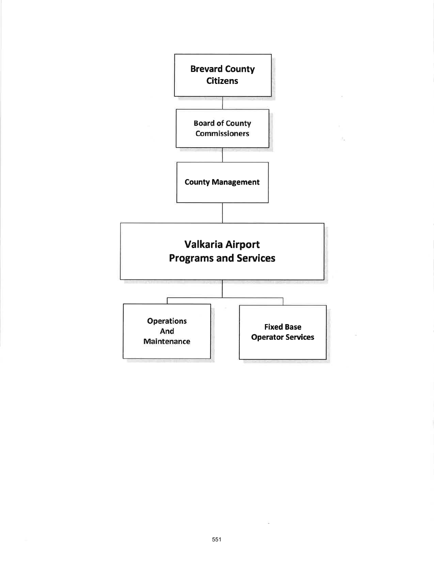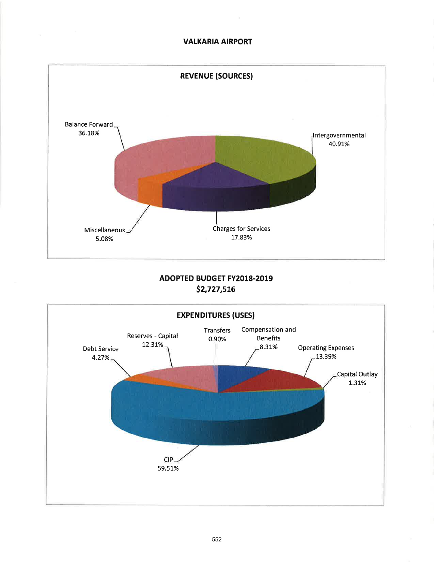### VALKARIA AIRPORT



# ADOPTED BUDGET FY2018-2019 52,727,st6

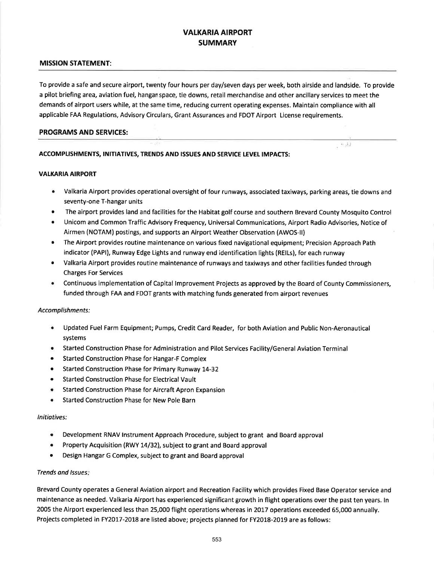# VALKARIA AIRPORT **SUMMARY**

#### MISSION STATEMENT:

To provide a safe and secure airport, twenty four hours per day/seven days per week, both airside and landside. To provide a pilot briefing area, aviation fuel, hanganspace, tie downs, retail merchandise and other ancillary services to meet the demands of airport users while, at the same time, reducing current operating expenses. Maintain compliance with all applicable FAA Regulations, Advisory Circulars, Grant Assurances and FDOT Airport License requirements.

#### PROGRAMS AND SERVICES:

### ACCOMPLISHMENTS, INITIATIVES, TRENDS AND ISSUES AND SERVICE LEVEL IMPACTS:

#### **VALKARIA AIRPORT**

Valkaria Airport provides operational oversight of four runways, associated taxiways, parking areas, tie downs and seventy-one T-hangar units

لجيف

- The airport provides land and facilities for the Habitat golf course and southern Brevard County Mosquito Control
- Unicom and Common Traffic Advisory Frequency, Universal Communications, Airport Radio Advisories, Notice of Airmen (NOTAM) postings, and supports an Airport Weather Observation (AWOS-Il)
- The Airport provides routine maintenance on various fixed navigational equipment; Precision Approach Path indicator (PAPI), Runway Edge Lights and runway end identification lights (RElLs), for each runway
- Valkaria Airport provides routine maintenance of runways and taxiways and other facilities funded through Charges For Services
- r Continuous implementation of Capital lmprovement Projects as approved by the Board of County Commissioners, funded through FAA and FDOT grants with matching funds generated from airport revenues

#### Accomplishments:

- . Updated Fuel Farm Equipment; Pumps, Credit Card Reader, for both Aviation and Public Non-Aeronautical systems
- **Started Construction Phase for Administration and Pilot Services Facility/General Aviation Terminal**
- o Started Construction Phase for Hangar-F Complex
- Started Construction Phase for Primary Runway 14-32
- . Started Construction Phase for Electrical Vault
- . Started Construction Phase for Aircraft Apron Expansion
- . Started Construction Phase for New Pole Barn

#### lnitiatives:

- Development RNAV Instrument Approach Procedure, subject to grant and Board approval
- . Property Acquisition (RWY 14/32), subject to grant and Board approval
- . Design Hangar G Complex, subject to grant and Board approval

#### Trends ond lssues

Brevard County operates a General Aviation airport and Recreation Facility which provides Fixed Base Operator service and maintenance as needed. Valkaria Airport has experienced significant growth in flight operations over the past ten years. ln 2005 the Airport experienced less than 25,000 flight operations whereas in 2OL7 operations exceeded 65,000 annually. Projects completed in FY2017-2018 are listed above; projects planned for FY2018-2019 are as follows: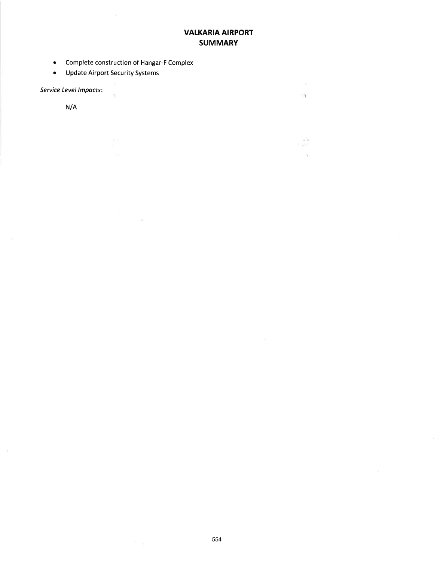# VALKARIA AIRPORT **SUMMARY**

 $-1$ 

- 18

 $\Delta$ 

- . Complete construction of Hangar-F Complex
- o Update Airport Security Systems

 $\mathbf{q}$ 

 $\sim$ 

 $\mathcal{L}(\mathcal{L})$ 

Service Level lmpocts:

N/A

 $\sim$ 

 $\alpha$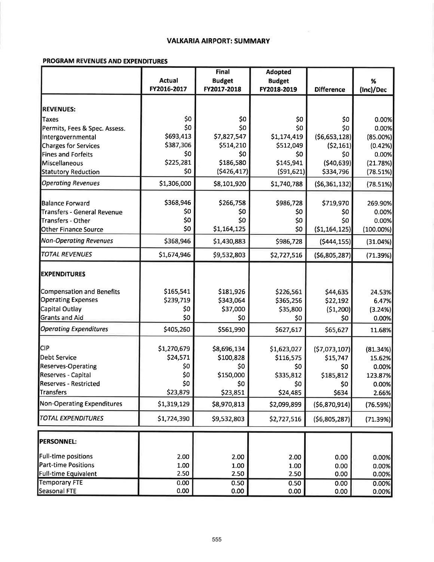### **VALKARIA AIRPORT: SUMMARY**

### PROGRAM REVENUES AND EXPENDITURES

|                                   |               | <b>Final</b>  | <b>Adopted</b> |                   |              |
|-----------------------------------|---------------|---------------|----------------|-------------------|--------------|
|                                   | <b>Actual</b> | <b>Budget</b> | <b>Budget</b>  |                   | %            |
|                                   | FY2016-2017   | FY2017-2018   | FY2018-2019    | <b>Difference</b> | (Inc)/Dec    |
| <b>REVENUES:</b>                  |               |               |                |                   |              |
| Taxes                             | \$0           | \$0           | \$0            | \$0               | 0.00%        |
| Permits, Fees & Spec. Assess.     | \$0           | \$0           | \$0            | \$0               | 0.00%        |
| Intergovernmental                 | \$693,413     | \$7,827,547   | \$1,174,419    | (56, 653, 128)    | $(85.00\%)$  |
| <b>Charges for Services</b>       | \$387,306     | \$514,210     | \$512,049      | (52, 161)         | (0.42%)      |
| <b>Fines and Forfeits</b>         | \$0           | \$0           | \$0            | \$0               | 0.00%        |
| Miscellaneous                     | \$225,281     | \$186,580     | \$145,941      | (540, 639)        | (21.78%)     |
| <b>Statutory Reduction</b>        | \$0           | (5426, 417)   | (591, 621)     | \$334,796         | (78.51%)     |
| <b>Operating Revenues</b>         | \$1,306,000   | \$8,101,920   | \$1,740,788    | ( \$6,361,132)    | (78.51%)     |
|                                   |               |               |                |                   |              |
| Balance Forward                   | \$368,946     | \$266,758     | \$986,728      | \$719,970         | 269.90%      |
| Transfers - General Revenue       | \$0           | \$0           | \$0            | \$0               | 0.00%        |
| Transfers - Other                 | \$0           | \$0           | \$0            | \$0               | 0.00%        |
| <b>Other Finance Source</b>       | \$0           | \$1,164,125   | \$0            | (51, 164, 125)    | $(100.00\%)$ |
| <b>Non-Operating Revenues</b>     | \$368,946     | \$1,430,883   | \$986,728      | (5444, 155)       | (31.04%)     |
| <b>TOTAL REVENUES</b>             | \$1,674,946   | \$9,532,803   | \$2,727,516    | ( \$6,805,287]    | (71.39%)     |
| <b>EXPENDITURES</b>               |               |               |                |                   |              |
| <b>Compensation and Benefits</b>  | \$165,541     | \$181,926     | \$226,561      | \$44,635          | 24.53%       |
| <b>Operating Expenses</b>         | \$239,719     | \$343,064     | \$365,256      | \$22,192          | 6.47%        |
| Capital Outlay                    | \$0           | \$37,000      | \$35,800       | (\$1,200)         | (3.24%)      |
| <b>Grants and Aid</b>             | \$0           | \$0           | \$0            | \$0               | 0.00%        |
| <b>Operating Expenditures</b>     | \$405,260     | \$561,990     | \$627,617      | \$65,627          | 11.68%       |
|                                   |               |               |                |                   |              |
| <b>CIP</b>                        | \$1,270,679   | \$8,696,134   | \$1,623,027    | (57,073,107)      | (81.34%)     |
| <b>Debt Service</b>               | \$24,571      | \$100,828     | \$116,575      | \$15,747          | 15.62%       |
| <b>Reserves-Operating</b>         | \$0           | \$0           | \$0            | \$0               | 0.00%        |
| Reserves - Capital                | \$0           | \$150,000     | \$335,812      | \$185,812         | 123.87%      |
| <b>Reserves - Restricted</b>      | \$0           | \$0           | \$0.           | SO <sub>2</sub>   | 0.00%        |
| <b>Transfers</b>                  | \$23,879      | \$23,851      | \$24,485       | \$634             | 2.66%        |
| <b>Non-Operating Expenditures</b> | \$1,319,129   | \$8,970,813   | \$2,099,899    | (56,870,914)      | (76.59%)     |
| <b>TOTAL EXPENDITURES</b>         | \$1,724,390   | \$9,532,803   | \$2,727,516    | ( \$6,805,287]    | (71.39%)     |
| <b>PERSONNEL:</b>                 |               |               |                |                   |              |
|                                   |               |               |                |                   |              |
| <b>Full-time positions</b>        | 2.00          | 2.00          | 2.00           | 0.00              | 0.00%        |
| <b>Part-time Positions</b>        | 1.00          | 1.00          | 1.00           | 0.00              | 0.00%        |
| <b>Full-time Equivalent</b>       | 2.50          | 2.50          | 2.50           | 0.00              | 0.00%        |
| <b>Temporary FTE</b>              | 0.00          | 0.50          | 0.50           | 0.00              | 0.00%        |
| <b>Seasonal FTE</b>               | 0.00          | 0.00          | 0.00           | 0.00              | 0.00%        |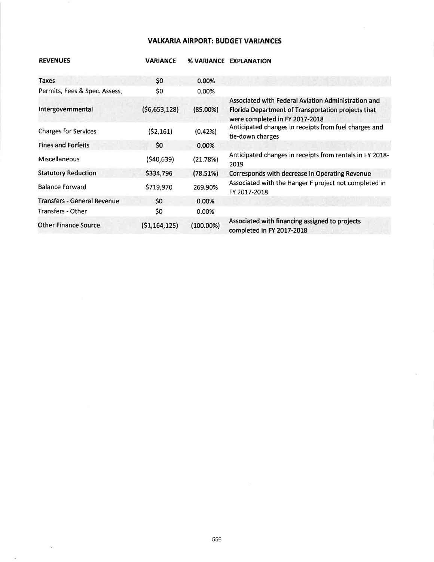### VALKARIA AIRPORT: BUDGET VARIANCES

| <b>REVENUES</b>                    | <b><i>VARIANCE</i></b> | <b>% VARIANCE</b> | <b>EXPLANATION</b>                                                                                                                          |
|------------------------------------|------------------------|-------------------|---------------------------------------------------------------------------------------------------------------------------------------------|
| <b>Taxes</b>                       | \$0                    | 0.00%             |                                                                                                                                             |
| Permits, Fees & Spec. Assess.      | \$0                    | 0.00%             |                                                                                                                                             |
| Intergovernmental                  | (56,653,128)           | $(85.00\%)$       | Associated with Federal Aviation Administration and<br>Florida Department of Transportation projects that<br>were completed in FY 2017-2018 |
| <b>Charges for Services</b>        | (52, 161)              | (0.42%)           | Anticipated changes in receipts from fuel charges and<br>tie-down charges                                                                   |
| <b>Fines and Forfeits</b>          | \$0                    | 0.00%             |                                                                                                                                             |
| <b>Miscellaneous</b>               | (\$40,639)             | (21.78%)          | Anticipated changes in receipts from rentals in FY 2018-<br>2019                                                                            |
| <b>Statutory Reduction</b>         | \$334,796              | (78.51%)          | Corresponds with decrease in Operating Revenue                                                                                              |
| <b>Balance Forward</b>             | \$719,970              | 269.90%           | Associated with the Hanger F project not completed in<br>FY 2017-2018                                                                       |
| <b>Transfers - General Revenue</b> | \$0                    | 0.00%             |                                                                                                                                             |
| Transfers - Other                  | \$0                    | $0.00\%$          |                                                                                                                                             |
| <b>Other Finance Source</b>        | (51, 164, 125)         | $(100.00\%)$      | Associated with financing assigned to projects<br>completed in FY 2017-2018                                                                 |

 $\mathcal{Z}_\bullet$ 

 $\tilde{\mathbf{z}}$ 

 $\sim$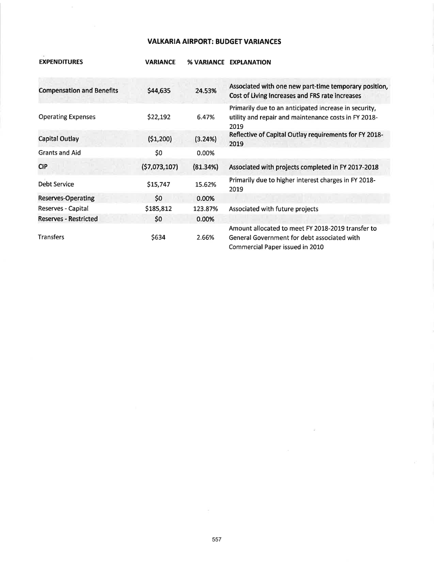# **VALKARIA AIRPORT: BUDGET VARIANCES**

**VARIANCE % VARIANCE EXPLANATION** 

**EXPENDITURES** 

| <b>Compensation and Benefits</b> | \$44,635     | 24.53%   | Associated with one new part-time temporary position,<br>Cost of Living Increases and FRS rate increases                            |
|----------------------------------|--------------|----------|-------------------------------------------------------------------------------------------------------------------------------------|
| <b>Operating Expenses</b>        | \$22,192     | 6.47%    | Primarily due to an anticipated increase in security,<br>utility and repair and maintenance costs in FY 2018-<br>2019               |
| Capital Outlay                   | (51,200)     | (3.24%)  | Reflective of Capital Outlay requirements for FY 2018-<br>2019                                                                      |
| <b>Grants and Aid</b>            | \$0          | 0.00%    |                                                                                                                                     |
| <b>CIP</b>                       | (57,073,107) | (81.34%) | Associated with projects completed in FY 2017-2018                                                                                  |
| Debt Service                     | \$15,747     | 15.62%   | Primarily due to higher interest charges in FY 2018-<br>2019                                                                        |
| <b>Reserves-Operating</b>        | \$0          | 0.00%    |                                                                                                                                     |
| Reserves - Capital               | \$185,812    | 123.87%  | Associated with future projects                                                                                                     |
| <b>Reserves - Restricted</b>     | \$0          | 0.00%    |                                                                                                                                     |
| <b>Transfers</b>                 | \$634        | 2.66%    | Amount allocated to meet FY 2018-2019 transfer to<br>General Government for debt associated with<br>Commercial Paper issued in 2010 |

 $\sim 100$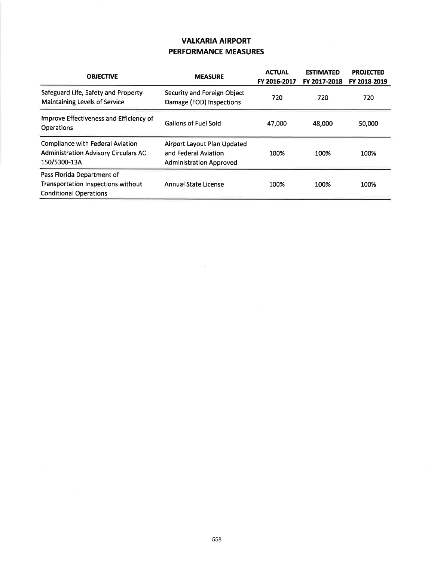# **VALKARIA AIRPORT PERFORMANCE MEASURES**

| <b>OBJECTIVE</b>                                                                                         | <b>MEASURE</b>                                                                        | <b>ACTUAL</b><br>FY 2016-2017 | <b>ESTIMATED</b><br>FY 2017-2018 | <b>PROJECTED</b><br>FY 2018-2019 |
|----------------------------------------------------------------------------------------------------------|---------------------------------------------------------------------------------------|-------------------------------|----------------------------------|----------------------------------|
| Safeguard Life, Safety and Property<br><b>Maintaining Levels of Service</b>                              | Security and Foreign Object<br>Damage (FOD) Inspections                               | 720                           | 720                              | 720                              |
| Improve Effectiveness and Efficiency of<br><b>Operations</b>                                             | <b>Gallons of Fuel Sold</b>                                                           | 47,000                        | 48,000                           | 50,000                           |
| <b>Compliance with Federal Aviation</b><br><b>Administration Advisory Circulars AC</b><br>150/5300-13A   | Airport Layout Plan Updated<br>and Federal Aviation<br><b>Administration Approved</b> | 100%                          | 100%                             | 100%                             |
| Pass Florida Department of<br><b>Transportation Inspections without</b><br><b>Conditional Operations</b> | <b>Annual State License</b>                                                           | 100%                          | 100%                             | 100%                             |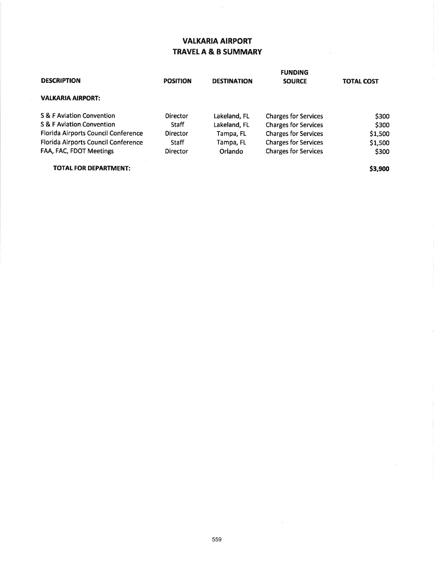# VALKARIA AIRPORT TRAVELA & B SUMMARY

|                                            |                 |                    | <b>FUNDING</b>              |                   |  |
|--------------------------------------------|-----------------|--------------------|-----------------------------|-------------------|--|
| <b>DESCRIPTION</b>                         | <b>POSITION</b> | <b>DESTINATION</b> | <b>SOURCE</b>               | <b>TOTAL COST</b> |  |
| <b>VALKARIA AIRPORT:</b>                   |                 |                    |                             |                   |  |
| S & F Aviation Convention                  | <b>Director</b> | Lakeland, FL       | <b>Charges for Services</b> | \$300             |  |
| <b>S &amp; F Aviation Convention</b>       | <b>Staff</b>    | Lakeland, FL       | <b>Charges for Services</b> | \$300             |  |
| Florida Airports Council Conference        | Director        | Tampa, FL          | <b>Charges for Services</b> | \$1,500           |  |
| <b>Florida Airports Council Conference</b> | <b>Staff</b>    | Tampa, FL          | <b>Charges for Services</b> | \$1,500           |  |
| FAA, FAC, FDOT Meetings                    | <b>Director</b> | Orlando            | <b>Charges for Services</b> | \$300             |  |
| <b>TOTAL FOR DEPARTMENT:</b>               |                 |                    |                             | \$3,900           |  |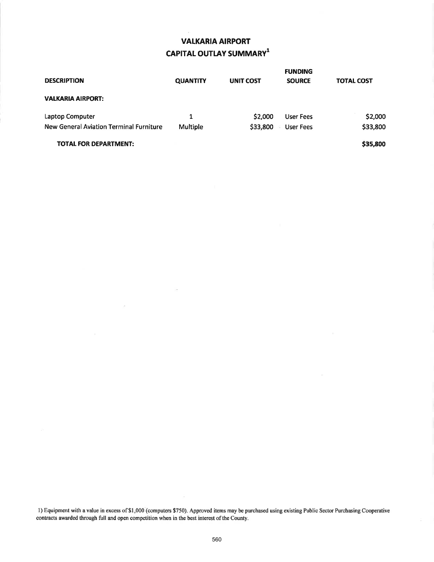# **VALKARIA AIRPORT**  $\text{CAPITAL OUTLAY SUMMARY}^1$

|                                         |                 |                  | <b>FUNDING</b>   |                   |
|-----------------------------------------|-----------------|------------------|------------------|-------------------|
| <b>DESCRIPTION</b>                      | <b>QUANTITY</b> | <b>UNIT COST</b> | <b>SOURCE</b>    | <b>TOTAL COST</b> |
| <b>VALKARIA AIRPORT:</b>                |                 |                  |                  |                   |
| Laptop Computer                         | 1               | \$2,000          | <b>User Fees</b> | \$2,000           |
| New General Aviation Terminal Furniture | Multiple        | \$33,800         | <b>User Fees</b> | \$33,800          |
| <b>TOTAL FOR DEPARTMENT:</b>            |                 |                  |                  | \$35,800          |

l) Equipment with a value in excess of\$1,000 (computers \$750). Approved items may be purchased using existing Public Sector Purchasing Cooperative contracts awarded through full and open competition when in the best interest of the County.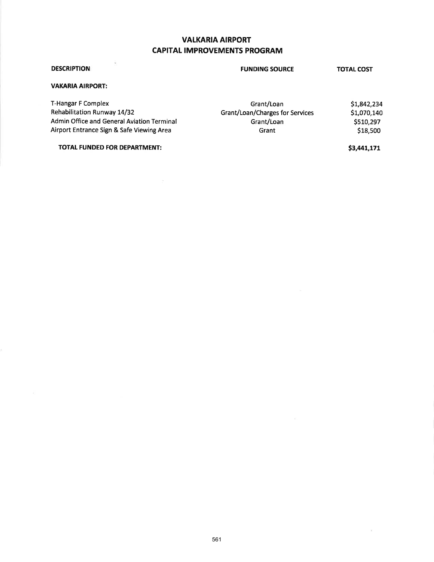# **VALKARIA AIRPORT** CAPITAL IMPROVEMENTS PROGRAM

| <b>DESCRIPTION</b>                         | <b>FUNDING SOURCE</b>           | <b>TOTAL COST</b> |
|--------------------------------------------|---------------------------------|-------------------|
| <b>VAKARIA AIRPORT:</b>                    |                                 |                   |
| T-Hangar F Complex                         | Grant/Loan                      | \$1,842,234       |
| Rehabilitation Runway 14/32                | Grant/Loan/Charges for Services | \$1,070,140       |
| Admin Office and General Aviation Terminal | Grant/Loan                      | \$510,297         |
| Airport Entrance Sign & Safe Viewing Area  | Grant                           | \$18,500          |

#### TOTAL FUNDED FOR DEPARTMENT:

\$3,441,171

 $\chi$